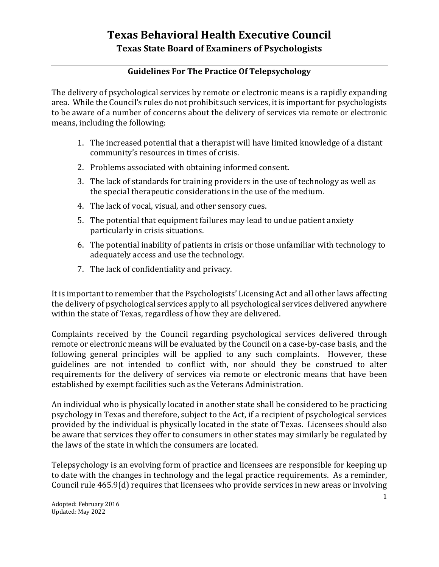## **Texas Behavioral Health Executive Council Texas State Board of Examiners of Psychologists**

## **Guidelines For The Practice Of Telepsychology**

The delivery of psychological services by remote or electronic means is a rapidly expanding area. While the Council's rules do not prohibit such services, it is important for psychologists to be aware of a number of concerns about the delivery of services via remote or electronic means, including the following:

- 1. The increased potential that a therapist will have limited knowledge of a distant community's resources in times of crisis.
- 2. Problems associated with obtaining informed consent.
- 3. The lack of standards for training providers in the use of technology as well as the special therapeutic considerations in the use of the medium.
- 4. The lack of vocal, visual, and other sensory cues.
- 5. The potential that equipment failures may lead to undue patient anxiety particularly in crisis situations.
- 6. The potential inability of patients in crisis or those unfamiliar with technology to adequately access and use the technology.
- 7. The lack of confidentiality and privacy.

It is important to remember that the Psychologists' Licensing Act and all other laws affecting the delivery of psychological services apply to all psychological services delivered anywhere within the state of Texas, regardless of how they are delivered.

Complaints received by the Council regarding psychological services delivered through remote or electronic means will be evaluated by the Council on a case-by-case basis, and the following general principles will be applied to any such complaints. However, these guidelines are not intended to conflict with, nor should they be construed to alter requirements for the delivery of services via remote or electronic means that have been established by exempt facilities such as the Veterans Administration.

An individual who is physically located in another state shall be considered to be practicing psychology in Texas and therefore, subject to the Act, if a recipient of psychological services provided by the individual is physically located in the state of Texas. Licensees should also be aware that services they offer to consumers in other states may similarly be regulated by the laws of the state in which the consumers are located.

Telepsychology is an evolving form of practice and licensees are responsible for keeping up to date with the changes in technology and the legal practice requirements. As a reminder, Council rule 465.9(d) requires that licensees who provide services in new areas or involving